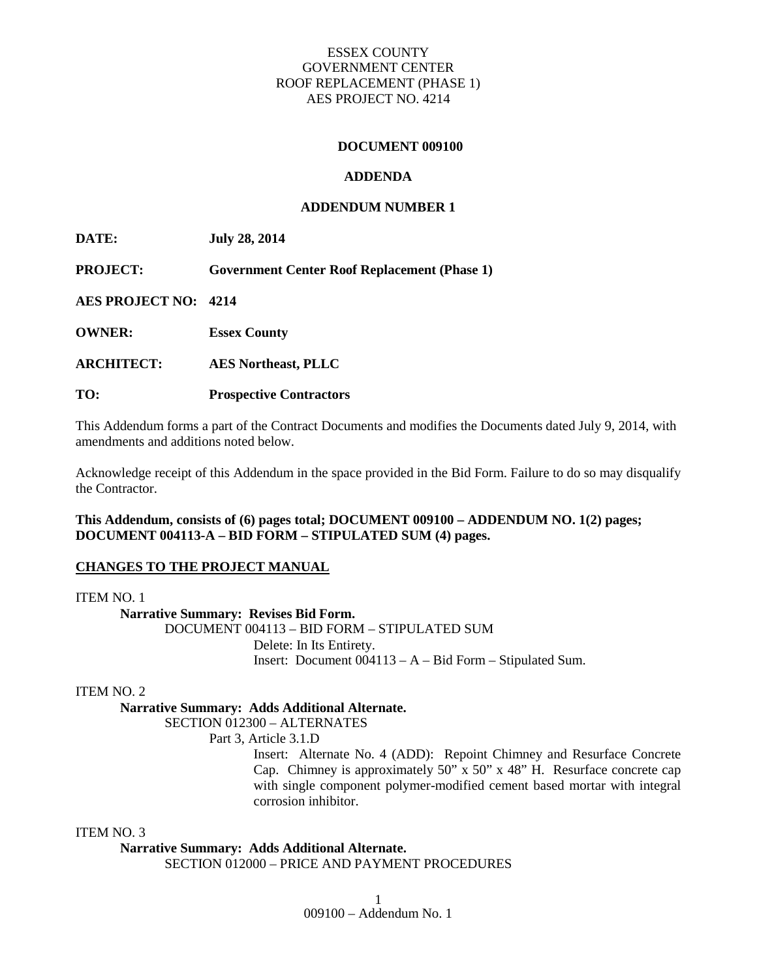### **DOCUMENT 009100**

### **ADDENDA**

### **ADDENDUM NUMBER 1**

**DATE: July 28, 2014**

**PROJECT: Government Center Roof Replacement (Phase 1)**

**AES PROJECT NO: 4214**

**OWNER: Essex County**

**ARCHITECT: AES Northeast, PLLC**

**TO: Prospective Contractors**

This Addendum forms a part of the Contract Documents and modifies the Documents dated July 9, 2014, with amendments and additions noted below.

Acknowledge receipt of this Addendum in the space provided in the Bid Form. Failure to do so may disqualify the Contractor.

### **This Addendum, consists of (6) pages total; DOCUMENT 009100 – ADDENDUM NO. 1(2) pages; DOCUMENT 004113-A – BID FORM – STIPULATED SUM (4) pages.**

#### **CHANGES TO THE PROJECT MANUAL**

ITEM NO. 1

**Narrative Summary: Revises Bid Form.**

DOCUMENT 004113 – BID FORM – STIPULATED SUM Delete: In Its Entirety. Insert: Document 004113 – A – Bid Form – Stipulated Sum.

#### ITEM NO. 2

## **Narrative Summary: Adds Additional Alternate.**

SECTION 012300 – ALTERNATES

Part 3, Article 3.1.D

Insert: Alternate No. 4 (ADD): Repoint Chimney and Resurface Concrete Cap. Chimney is approximately 50" x 50" x 48" H. Resurface concrete cap with single component polymer-modified cement based mortar with integral corrosion inhibitor.

#### ITEM NO. 3

**Narrative Summary: Adds Additional Alternate.**

SECTION 012000 – PRICE AND PAYMENT PROCEDURES

009100 – Addendum No. 1 1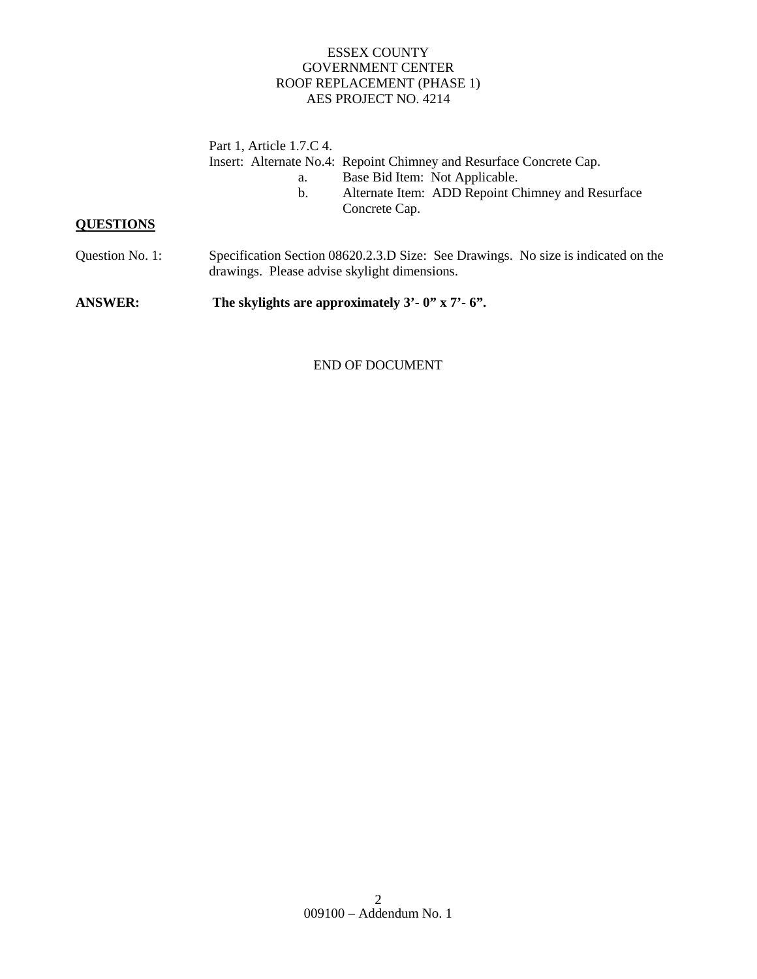Part 1, Article 1.7.C 4. Insert: Alternate No.4: Repoint Chimney and Resurface Concrete Cap. a. Base Bid Item: Not Applicable.

- 
- b. Alternate Item: ADD Repoint Chimney and Resurface Concrete Cap.

# **QUESTIONS**

Question No. 1: Specification Section 08620.2.3.D Size: See Drawings. No size is indicated on the drawings. Please advise skylight dimensions.

**ANSWER: The skylights are approximately 3'- 0" x 7'- 6".**

## END OF DOCUMENT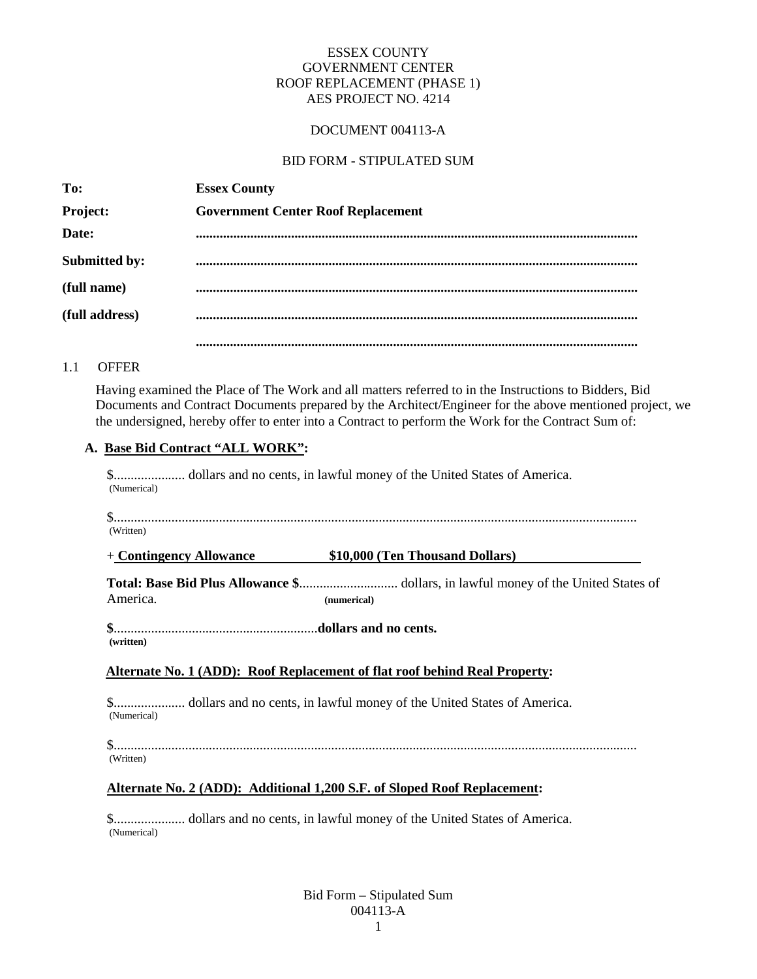# DOCUMENT 004113-A

### BID FORM - STIPULATED SUM

| To:             | <b>Essex County</b>                       |
|-----------------|-------------------------------------------|
| <b>Project:</b> | <b>Government Center Roof Replacement</b> |
| Date:           |                                           |
| Submitted by:   |                                           |
| (full name)     |                                           |
| (full address)  |                                           |
|                 |                                           |

## 1.1 OFFER

Having examined the Place of The Work and all matters referred to in the Instructions to Bidders, Bid Documents and Contract Documents prepared by the Architect/Engineer for the above mentioned project, we the undersigned, hereby offer to enter into a Contract to perform the Work for the Contract Sum of:

## **A. Base Bid Contract "ALL WORK":**

\$..................... dollars and no cents, in lawful money of the United States of America. (Numerical)

\$.......................................................................................................................................................... (Written)

+ **Contingency Allowance \$10,000 (Ten Thousand Dollars)**

**Total: Base Bid Plus Allowance \$**............................. dollars, in lawful money of the United States of America. **(numerical)**

**\$**............................................................**dollars and no cents. (written)**

#### **Alternate No. 1 (ADD): Roof Replacement of flat roof behind Real Property:**

\$..................... dollars and no cents, in lawful money of the United States of America. (Numerical)

\$.......................................................................................................................................................... (Written)

#### **Alternate No. 2 (ADD): Additional 1,200 S.F. of Sloped Roof Replacement:**

\$..................... dollars and no cents, in lawful money of the United States of America. (Numerical)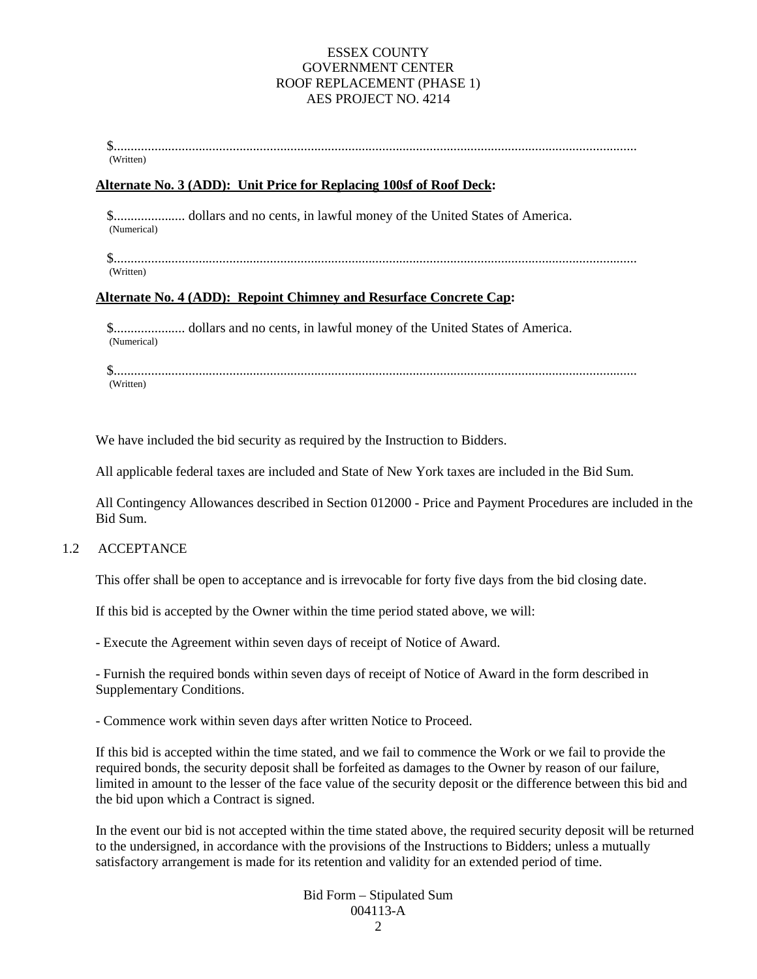\$.......................................................................................................................................................... (Written)

#### **Alternate No. 3 (ADD): Unit Price for Replacing 100sf of Roof Deck:**

\$..................... dollars and no cents, in lawful money of the United States of America. (Numerical)

\$.......................................................................................................................................................... (Written)

#### **Alternate No. 4 (ADD): Repoint Chimney and Resurface Concrete Cap:**

\$..................... dollars and no cents, in lawful money of the United States of America. (Numerical)

\$.......................................................................................................................................................... (Written)

We have included the bid security as required by the Instruction to Bidders.

All applicable federal taxes are included and State of New York taxes are included in the Bid Sum.

All Contingency Allowances described in Section 012000 - Price and Payment Procedures are included in the Bid Sum.

#### 1.2 ACCEPTANCE

This offer shall be open to acceptance and is irrevocable for forty five days from the bid closing date.

If this bid is accepted by the Owner within the time period stated above, we will:

- Execute the Agreement within seven days of receipt of Notice of Award.

- Furnish the required bonds within seven days of receipt of Notice of Award in the form described in Supplementary Conditions.

- Commence work within seven days after written Notice to Proceed.

If this bid is accepted within the time stated, and we fail to commence the Work or we fail to provide the required bonds, the security deposit shall be forfeited as damages to the Owner by reason of our failure, limited in amount to the lesser of the face value of the security deposit or the difference between this bid and the bid upon which a Contract is signed.

In the event our bid is not accepted within the time stated above, the required security deposit will be returned to the undersigned, in accordance with the provisions of the Instructions to Bidders; unless a mutually satisfactory arrangement is made for its retention and validity for an extended period of time.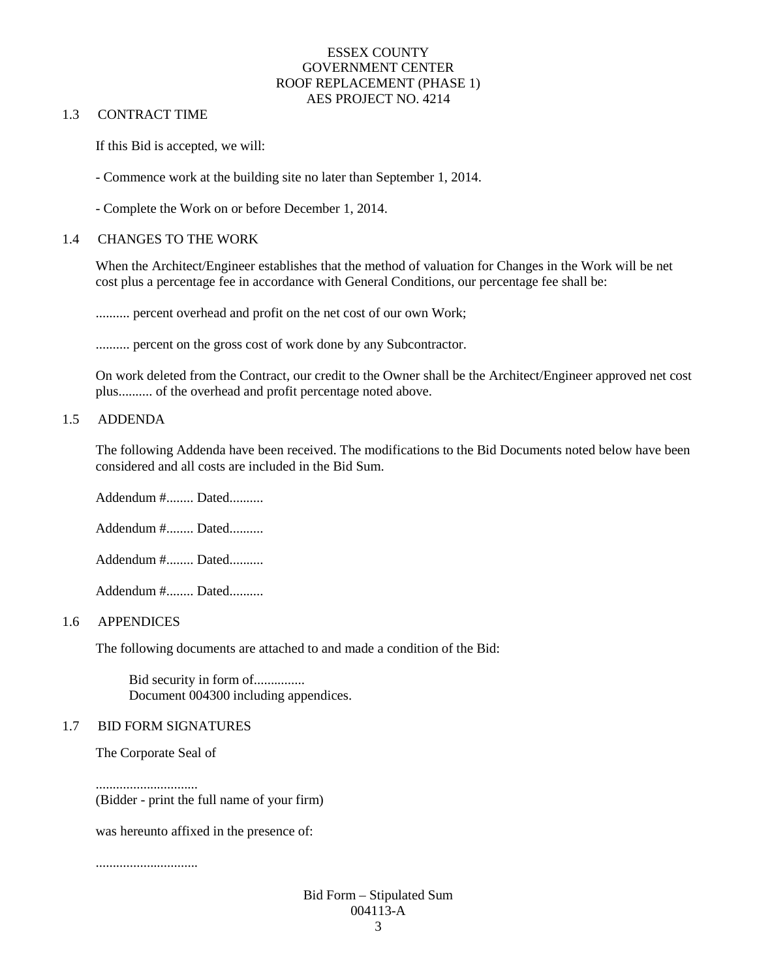### 1.3 CONTRACT TIME

If this Bid is accepted, we will:

- Commence work at the building site no later than September 1, 2014.

- Complete the Work on or before December 1, 2014.

### 1.4 CHANGES TO THE WORK

When the Architect/Engineer establishes that the method of valuation for Changes in the Work will be net cost plus a percentage fee in accordance with General Conditions, our percentage fee shall be:

.......... percent overhead and profit on the net cost of our own Work;

........... percent on the gross cost of work done by any Subcontractor.

On work deleted from the Contract, our credit to the Owner shall be the Architect/Engineer approved net cost plus.......... of the overhead and profit percentage noted above.

### 1.5 ADDENDA

The following Addenda have been received. The modifications to the Bid Documents noted below have been considered and all costs are included in the Bid Sum.

Addendum #........ Dated..........

Addendum #........ Dated..........

Addendum #........ Dated..........

Addendum #........ Dated..........

#### 1.6 APPENDICES

The following documents are attached to and made a condition of the Bid:

Bid security in form of............... Document 004300 including appendices.

#### 1.7 BID FORM SIGNATURES

The Corporate Seal of

.............................. (Bidder - print the full name of your firm)

was hereunto affixed in the presence of:

..............................